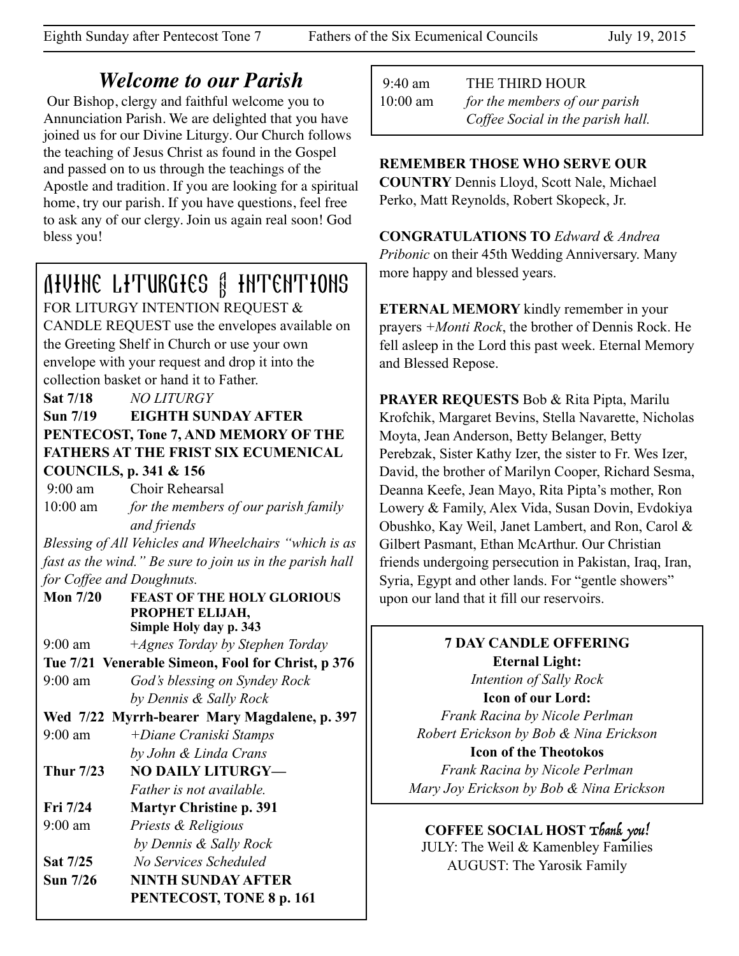# *Welcome to our Parish*

 Our Bishop, clergy and faithful welcome you to Annunciation Parish. We are delighted that you have joined us for our Divine Liturgy. Our Church follows the teaching of Jesus Christ as found in the Gospel and passed on to us through the teachings of the Apostle and tradition. If you are looking for a spiritual home, try our parish. If you have questions, feel free to ask any of our clergy. Join us again real soon! God bless you!

# Divine Liturgies & Intentions

FOR LITURGY INTENTION REQUEST & CANDLE REQUEST use the envelopes available on the Greeting Shelf in Church or use your own envelope with your request and drop it into the collection basket or hand it to Father.

**Sat 7/18** *NO LITURGY* 

#### **Sun 7/19 EIGHTH SUNDAY AFTER PENTECOST, Tone 7, AND MEMORY OF THE FATHERS AT THE FRIST SIX ECUMENICAL COUNCILS, p. 341 & 156**

 9:00 am Choir Rehearsal 10:00 am *for the members of our parish family and friends* 

*Blessing of All Vehicles and Wheelchairs "which is as fast as the wind." Be sure to join us in the parish hall for Coffee and Doughnuts.*

**Mon 7/20 FEAST OF THE HOLY GLORIOUS PROPHET ELIJAH, Simple Holy day p. 343**

9:00 am +*Agnes Torday by Stephen Torday*

**Tue 7/21 Venerable Simeon, Fool for Christ, p 376** 9:00 am *God's blessing on Syndey Rock* 

 *by Dennis & Sally Rock*

- **Wed 7/22 Myrrh-bearer Mary Magdalene, p. 397**
- 9:00 am *+Diane Craniski Stamps by John & Linda Crans*
- Thur 7/23 NO DAILY LITURGY-*Father is not available.*
- **Fri 7/24 Martyr Christine p. 391** 9:00 am *Priests & Religious*
- *by Dennis & Sally Rock*

**Sat 7/25** *No Services Scheduled* 

**Sun 7/26 NINTH SUNDAY AFTER** 

 **PENTECOST, TONE 8 p. 161** 

9:40 am THE THIRD HOUR

10:00 am *for the members of our parish Coffee Social in the parish hall.*

#### **REMEMBER THOSE WHO SERVE OUR**

**COUNTRY** Dennis Lloyd, Scott Nale, Michael Perko, Matt Reynolds, Robert Skopeck, Jr.

**CONGRATULATIONS TO** *Edward & Andrea Pribonic* on their 45th Wedding Anniversary. Many more happy and blessed years.

**ETERNAL MEMORY** kindly remember in your prayers *+Monti Rock*, the brother of Dennis Rock. He fell asleep in the Lord this past week. Eternal Memory and Blessed Repose.

**PRAYER REQUESTS** Bob & Rita Pipta, Marilu Krofchik, Margaret Bevins, Stella Navarette, Nicholas Moyta, Jean Anderson, Betty Belanger, Betty Perebzak, Sister Kathy Izer, the sister to Fr. Wes Izer, David, the brother of Marilyn Cooper, Richard Sesma, Deanna Keefe, Jean Mayo, Rita Pipta's mother, Ron Lowery & Family, Alex Vida, Susan Dovin, Evdokiya Obushko, Kay Weil, Janet Lambert, and Ron, Carol & Gilbert Pasmant, Ethan McArthur. Our Christian friends undergoing persecution in Pakistan, Iraq, Iran, Syria, Egypt and other lands. For "gentle showers" upon our land that it fill our reservoirs.

## **7 DAY CANDLE OFFERING Eternal Light:**

*Intention of Sally Rock*  **Icon of our Lord:** 

*Frank Racina by Nicole Perlman Robert Erickson by Bob & Nina Erickson* 

**Icon of the Theotokos**  *Frank Racina by Nicole Perlman Mary Joy Erickson by Bob & Nina Erickson* 

#### **COFFEE SOCIAL HOST** Thank you!

JULY: The Weil & Kamenbley Families AUGUST: The Yarosik Family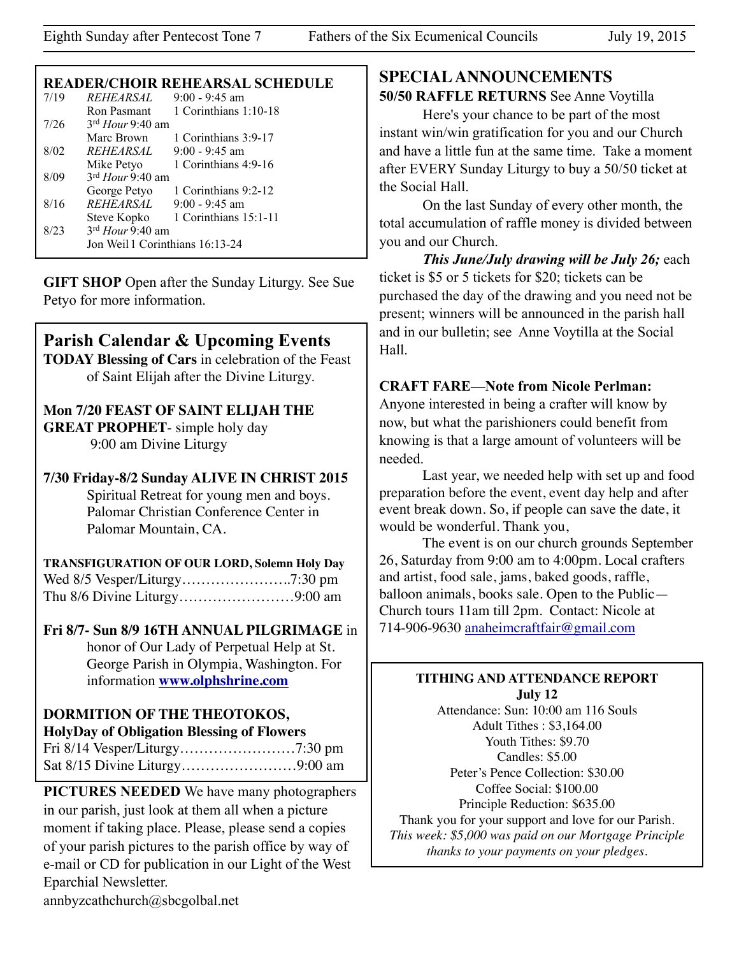#### **READER/CHOIR REHEARSAL SCHEDULE**

| 7/19 | <i>REHEARSAL</i>                | $9:00 - 9:45$ am                  |
|------|---------------------------------|-----------------------------------|
|      | Ron Pasmant                     | 1 Corinthians 1:10-18             |
| 7/26 | $3rd$ Hour 9:40 am              |                                   |
|      | Marc Brown                      | 1 Corinthians 3:9-17              |
| 8/02 | <i>REHEARSAL</i>                | $9:00 - 9:45$ am                  |
|      | Mike Petyo                      | 1 Corinthians 4:9-16              |
| 8/09 | $3rd$ Hour 9:40 am              |                                   |
|      | George Petyo                    | 1 Corinthians 9:2-12              |
| 8/16 | <i>REHEARSAL</i>                | $9:00 - 9:45$ am                  |
|      |                                 | Steve Kopko 1 Corinthians 15:1-11 |
| 8/23 | $3rd$ Hour 9:40 am              |                                   |
|      | Jon Weil 1 Corinthians 16:13-24 |                                   |
|      |                                 |                                   |

**GIFT SHOP** Open after the Sunday Liturgy. See Sue Petyo for more information.

## **Parish Calendar & Upcoming Events**

**TODAY Blessing of Cars** in celebration of the Feast of Saint Elijah after the Divine Liturgy.

## **Mon 7/20 FEAST OF SAINT ELIJAH THE GREAT PROPHET**- simple holy day

9:00 am Divine Liturgy

**7/30 Friday-8/2 Sunday ALIVE IN CHRIST 2015**  Spiritual Retreat for young men and boys. Palomar Christian Conference Center in Palomar Mountain, CA.

**TRANSFIGURATION OF OUR LORD, Solemn Holy Day** Wed 8/5 Vesper/Liturgy…………………..7:30 pm Thu 8/6 Divine Liturgy……………………9:00 am

#### **Fri 8/7- Sun 8/9 16TH ANNUAL PILGRIMAGE** in honor of Our Lady of Perpetual Help at St.

George Parish in Olympia, Washington. For information **[www.olphshrine.com](http://www.olphshrine.com)**

# **DORMITION OF THE THEOTOKOS,**

**HolyDay of Obligation Blessing of Flowers** Fri 8/14 Vesper/Liturgy……………………7:30 pm Sat 8/15 Divine Liturgy……………………9:00 am

**PICTURES NEEDED** We have many photographers in our parish, just look at them all when a picture moment if taking place. Please, please send a copies of your parish pictures to the parish office by way of e-mail or CD for publication in our Light of the West Eparchial Newsletter. annbyzcathchurch@sbcgolbal.net

# **SPECIAL ANNOUNCEMENTS**

## **50/50 RAFFLE RETURNS** See Anne Voytilla

 Here's your chance to be part of the most instant win/win gratification for you and our Church and have a little fun at the same time. Take a moment after EVERY Sunday Liturgy to buy a 50/50 ticket at the Social Hall.

On the last Sunday of every other month, the total accumulation of raffle money is divided between you and our Church.

 *This June/July drawing will be July 26;* each ticket is \$5 or 5 tickets for \$20; tickets can be purchased the day of the drawing and you need not be present; winners will be announced in the parish hall and in our bulletin; see Anne Voytilla at the Social Hall.

#### **CRAFT FARE—Note from Nicole Perlman:**

Anyone interested in being a crafter will know by now, but what the parishioners could benefit from knowing is that a large amount of volunteers will be needed.

Last year, we needed help with set up and food preparation before the event, event day help and after event break down. So, if people can save the date, it would be wonderful. Thank you,

The event is on our church grounds September 26, Saturday from 9:00 am to 4:00pm. Local crafters and artist, food sale, jams, baked goods, raffle, balloon animals, books sale. Open to the Public— Church tours 11am till 2pm. Contact: Nicole at 714-906-9630 [anaheimcraftfair@gmail.com](mailto:anaheimcraftfair@gmail.com)

#### **TITHING AND ATTENDANCE REPORT July 12**

Attendance: Sun: 10:00 am 116 Souls Adult Tithes : \$3,164.00 Youth Tithes: \$9.70 Candles: \$5.00 Peter's Pence Collection: \$30.00 Coffee Social: \$100.00 Principle Reduction: \$635.00 Thank you for your support and love for our Parish. *This week: \$5,000 was paid on our Mortgage Principle thanks to your payments on your pledges.*